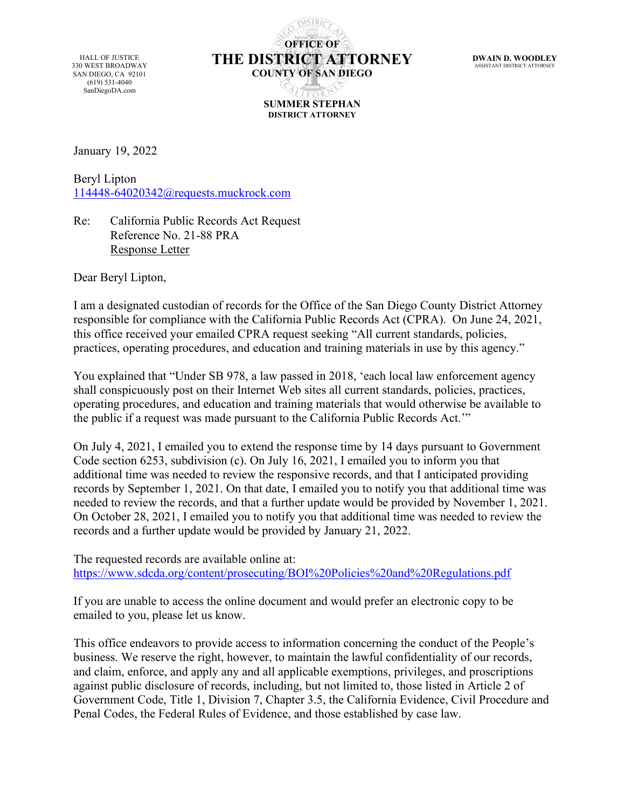HALL OF JUSTICE 330 WEST BROADWAY SAN DIEGO, CA 92101 (619) 531-4040 SanDiegoDA.com

**OFFICE OF THE DISTRICT ATTORNEY COUNTY OF SAN DIEGO SUMMER STEPHAN DISTRICT ATTORNEY**

**DWAIN D. WOODLEY** ASSISTANT DISTRICT ATTOR

January 19, 2022

Beryl Lipton [114448-64020342@requests.muckrock.com](mailto:114448-64020342@requests.muckrock.com)

Re: California Public Records Act Request Reference No. 21-88 PRA Response Letter

Dear Beryl Lipton,

I am a designated custodian of records for the Office of the San Diego County District Attorney responsible for compliance with the California Public Records Act (CPRA). On June 24, 2021, this office received your emailed CPRA request seeking "All current standards, policies, practices, operating procedures, and education and training materials in use by this agency."

You explained that "Under SB 978, a law passed in 2018, 'each local law enforcement agency shall conspicuously post on their Internet Web sites all current standards, policies, practices, operating procedures, and education and training materials that would otherwise be available to the public if a request was made pursuant to the California Public Records Act.'"

On July 4, 2021, I emailed you to extend the response time by 14 days pursuant to Government Code section 6253, subdivision (c). On July 16, 2021, I emailed you to inform you that additional time was needed to review the responsive records, and that I anticipated providing records by September 1, 2021. On that date, I emailed you to notify you that additional time was needed to review the records, and that a further update would be provided by November 1, 2021. On October 28, 2021, I emailed you to notify you that additional time was needed to review the records and a further update would be provided by January 21, 2022.

The requested records are available online at: <https://www.sdcda.org/content/prosecuting/BOI%20Policies%20and%20Regulations.pdf>

If you are unable to access the online document and would prefer an electronic copy to be emailed to you, please let us know.

This office endeavors to provide access to information concerning the conduct of the People's business. We reserve the right, however, to maintain the lawful confidentiality of our records, and claim, enforce, and apply any and all applicable exemptions, privileges, and proscriptions against public disclosure of records, including, but not limited to, those listed in Article 2 of Government Code, Title 1, Division 7, Chapter 3.5, the California Evidence, Civil Procedure and Penal Codes, the Federal Rules of Evidence, and those established by case law.